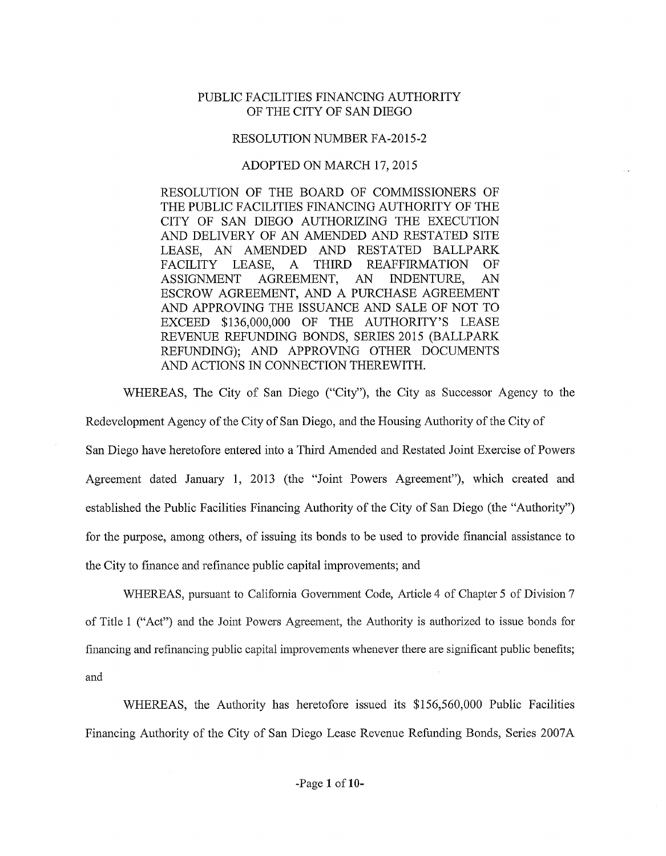## PUBLIC FACILITIES FINANCING AUTHORITY OF THE CITY OF SAN DIEGO

## RESOLUTION NUMBER FA-2015-2

## ADOPTED ON MARCH 17, 2015

RESOLUTION OF THE BOARD OF COMMISSIONERS OF THE PUBLIC FACILITIES FINANCING AUTHORITY OF THE CITY OF SAN DIEGO AUTHORIZING THE EXECUTION AND DELIVERY OF AN AMENDED AND RESTATED SITE LEASE, AN AMENDED AND RESTATED BALLPARK FACILITY LEASE, A THIRD REAFFIRMATION OF ASSIGNMENT AGREEMENT, AN INDENTURE, AN ESCROW AGREEMENT, AND A PURCHASE AGREEMENT AND APPROVING THE ISSUANCE AND SALE OF NOT TO EXCEED \$136,000,000 OF THE AUTHORITY'S LEASE REVENUE REFUNDING BONDS, SERIES 2015 (BALLPARK REFUNDING); AND APPROVING OTHER DOCUMENTS AND ACTIONS IN CONNECTION THEREWITH.

WHEREAS, The City of San Diego ("City"), the City as Successor Agency to the

Redevelopment Agency of the City of San Diego, and the Housing Authority of the City of San Diego have heretofore entered into a Third Amended and Restated Joint Exercise of Powers Agreement dated January 1, 2013 (the "Joint Powers Agreement"), which created and established the Public Facilities Financing Authority of the City of San Diego (the "Authority") for the purpose, among others, of issuing its bonds to be used to provide financial assistance to the City to finance and refinance public capital improvements; and

WHEREAS, pursuant to California Govemment Code, Article 4 of Chapter 5 of Division 7 of Title 1 ("Act") and the Joint Powers Agreement, the Authority is authorized to issue bonds for financing and refinancing public capital improvements whenever there are significant public benefits; and

WHEREAS, the Authority has heretofore issued its \$156,560,000 Public Facilities Financing Authority of the City of San Diego Lease Revenue Refunding Bonds, Series 2007A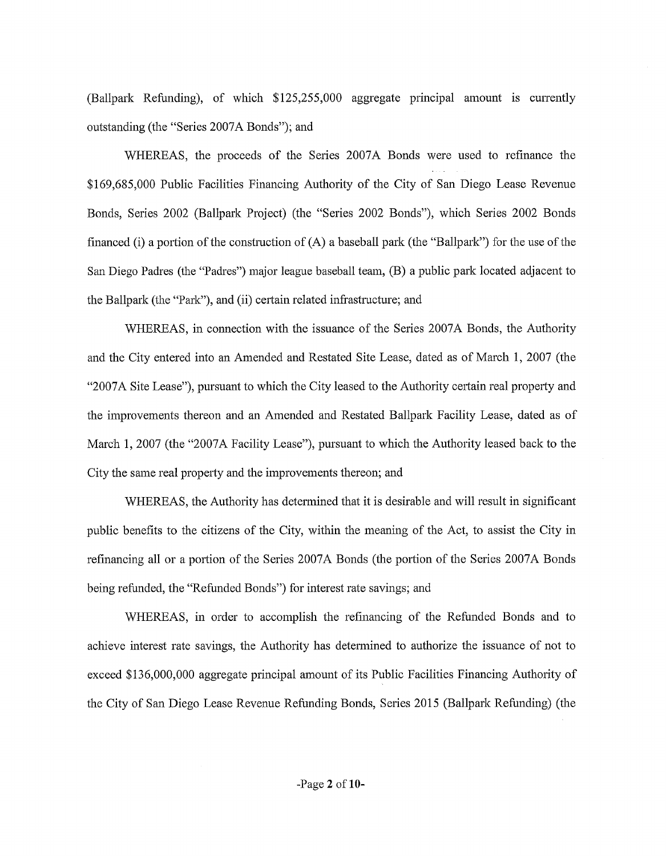$(Ballpark Refunding)$ , of which  $$125,255,000$  aggregate principal amount is currently outstanding (the "Series 2007A Bonds"); and

WHEREAS, the proceeds of the Series 2007A Bonds were used to refinance the \$169,685,000 Public Facilities Financing Authority of the City of San Diego Lease Revenue Bonds, Series 2002 (Ballpark Project) (the "Series 2002 Bonds"), which Series 2002 Bonds financed (i) a portion of the construction of  $(A)$  a baseball park (the "Ballpark") for the use of the San Diego Padres (the "Padres") major league baseball team, (B) a public park located adjacent to the Ballpark (the "Park"), and (ii) certain related infrastmcture; and

WHEREAS, in connection with the issuance of the Series 2007A Bonds, the Authority and the City entered into an Amended and Restated Site Lease, dated as of March 1, 2007 (the "2007A Site Lease"), pursuant to which the City leased to the Authority certain real property and the improvements thereon and an Amended and Restated Ballpark Facility Lease, dated as of March 1, 2007 (the "2007A Facility Lease"), pursuant to which the Authority leased back to the City the same real property and the improvements thereon; and

WHEREAS, the Authority has determined that it is desirable and will result in significant public benefits to the citizens of the City, within the meaning of the Act, to assist the City in refinancing all or a portion of the Series 2007 A Bonds (the portion of the Series 2007 A Bonds being refunded, the "Refunded Bonds") for interest rate savings; and

WHEREAS, in order to accomplish the refinancing of the Refunded Bonds and to achieve interest rate savings, the Authority has determined to authorize the issuance of not to exceed \$136,000,000 aggregate principal amount of its Public Facilities Financing Authority of the City of San Diego Lease Revenue Refunding Bonds, Series 2015 (Ballpark Refunding) (the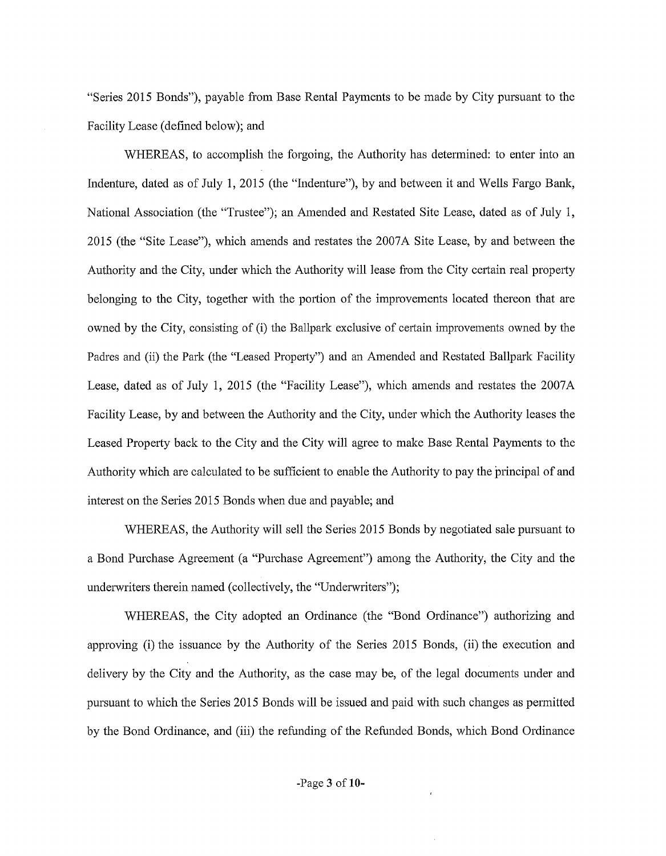"Series 2015 Bonds"), payable from Base Rental Payments to be made by City pursuant to the Facility Lease (defined below); and

WHEREAS, to accomplish the forgoing, the Authority has determined: to enter into an Indenture, dated as of July 1, 2015 (the "Indenture"), by and between it and Wells Fargo Bank, National Association (the "Trustee"); an Amended and Restated Site Lease, dated as of July 1, 2015 (the "Site Lease"), which amends and restates the 2007A Site Lease, by and between the Authority and the City, under which the Authority will lease from the City certain real property belonging to the City, together with the portion of the improvements located thereon that are owned by the City, consisting of (i) the Ballpark exclusive of certain improvements owned by the Padres and (ii) the Park (the "Leased Property") and an Amended and Restated Ballpark Facility Lease, dated as of July 1, 2015 (the "Facility Lease"), which amends and restates the 2007A Facility Lease, by and between the Authority and the City, under which the Authority leases the Leased Property back to the City and the City will agree to make Base Rental Payments to the Authority which are calculated to be sufficient to enable the Authority to pay the principal of and interest on the Series 2015 Bonds when due and payable; and

WHEREAS, the Authority will sell the Series 2015 Bonds by negotiated sale pursuant to a Bond Purchase Agreement (a "Purchase Agreement") among the Authority, the City and the underwriters therein named (collectively, the "Underwriters");

WHEREAS, the City adopted an Ordinance (the "Bond Ordinance") authorizing and approving (i) the issuance by the Authority of the Series 2015 Bonds, (ii) the execution and delivery by the City and the Authority, as the case may be, of the legal documents under and pursuant to which the Series 2015 Bonds will be issued and paid with such changes as pem1itted by the Bond Ordinance, and (iii) the refunding of the Refunded Bonds, which Bond Ordinance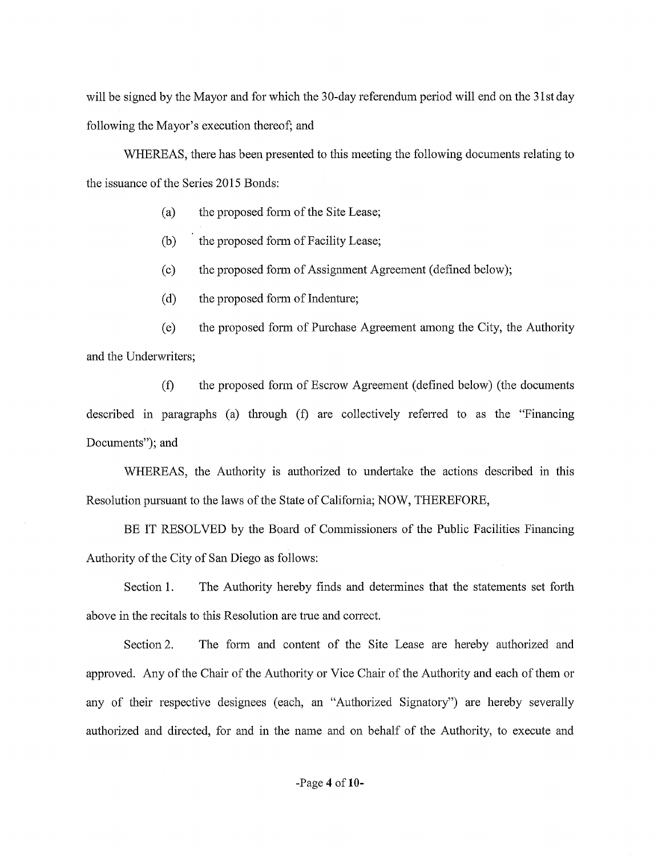will be signed by the Mayor and for which the 30-day referendum period will end on the 31st day following the Mayor's execution thereof; and

WHEREAS, there has been presented to this meeting the following documents relating to the issuance of the Series 2015 Bonds:

- (a) the proposed form of the Site Lease;
- (b) the proposed form of Facility Lease;
- (c) the proposed form of Assignment Agreement (defined below);
- (d) the proposed form of Indenture;

(e) the proposed form of Purchase Agreement among the City, the Authority and the Underwriters;

(f) the proposed form of Escrow Agreement (defined below) (the documents described in paragraphs (a) through  $(f)$  are collectively referred to as the "Financing Documents"); and

WHEREAS, the Authority is authorized to undertake the actions described in this Resolution pursuant to the laws of the State of Califomia; NOW, THEREFORE,

BE IT RESOLVED by the Board of Commissioners of the Public Facilities Financing Authority of the City of San Diego as follows:

Section 1. The Authority hereby finds and determines that the statements set forth above in the recitals to this Resolution are true and correct.

Section 2. The form and content of the Site Lease are hereby authorized and approved. Any of the Chair of the Authority or Vice Chair of the Authority and each of them or any of their respective designees (each, an "Authorized Signatory") are hereby severally authorized and directed, for and in the name and on behalf of the Authority, to execute and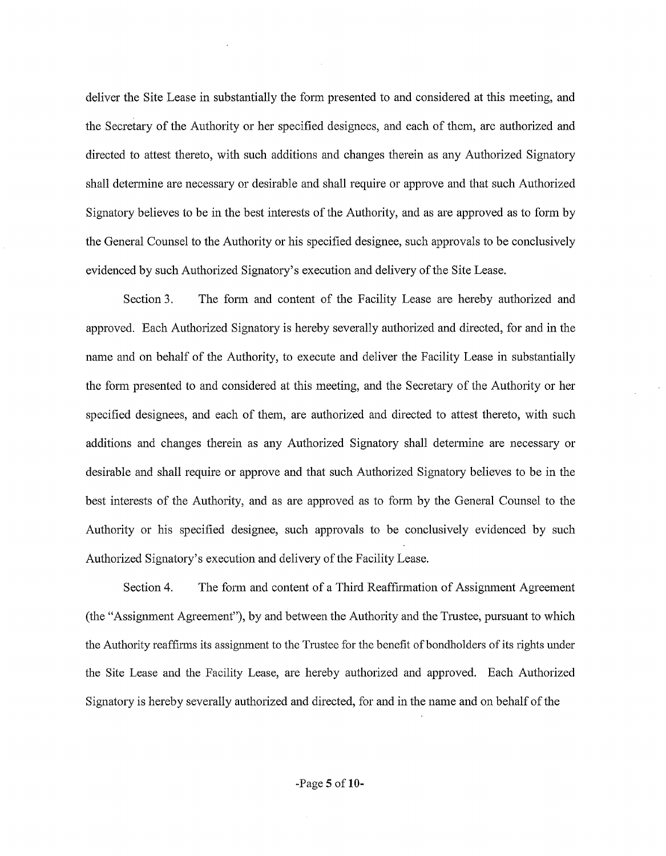deliver the Site Lease in substantially the form presented to and considered at this meeting, and the Secretary of the Authority or her specified designees, and each of them, are authorized and directed to attest thereto, with such additions and changes therein as any Authorized Signatory shall determine are necessary or desirable and shall require or approve and that such Authorized Signatory believes to be in the best interests of the Authority, and as are approved as to form by the General Counsel to the Authority or his specified designee, such approvals to be conclusively evidenced by such Authorized Signatory's execution and delivery of the Site Lease.

Section 3. The form and content of the Facility Lease are hereby authorized and approved. Each Authorized Signatory is hereby severally authorized and directed, for and in the name and on behalf of the Authority, to execute and deliver the Facility Lease in substantially the form presented to and considered at this meeting, and the Secretary of the Authority or her specified designees, and each of them, are authorized and directed to attest thereto, with such additions and changes therein as any Authorized Signatory shall determine are necessary or desirable and shall require or approve and that such Authorized Signatory believes to be in the best interests of the Authority, and as are approved as to form by the General Counsel to the Authority or his specified designee, such approvals to be conclusively evidenced by such Authorized Signatory's execution and delivery of the Facility Lease.

Section 4. The form and content of a Third Reaffirmation of Assignment Agreement (the "Assigmnent Agreement"), by and between the Authority and the Trustee, pursuant to which the Authority reaffirms its assignment to the Trustee for the benefit of bondholders of its rights under the Site Lease and the Facility Lease, are hereby authorized and approved. Each Authorized Signatory is hereby severally authorized and directed, for and in the name and on behalf of the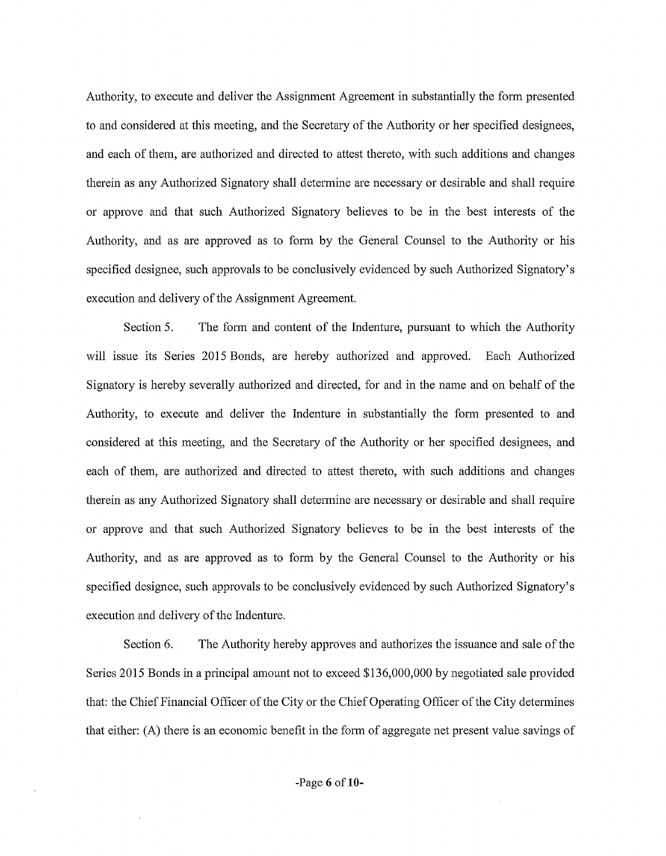Authority, to execute and deliver the Assignment Agreement in substantially the fonn presented to and considered at this meeting, and the Secretary of the Authority or her specified designees, and each of them, are authorized and directed to attest thereto, with such additions and changes therein as any Authorized Signatory shall determine are necessary or desirable and shall require or approve and that such Authorized Signatory believes to be in the best interests of the Authority, and as are approved as to form by the General Counsel to the Authority or his specified designee, such approvals to be conclusively evidenced by such Authorized Signatory's execution and delivery of the Assigmnent Agreement.

Section 5. The form and content of the Indenture, pursuant to which the Authority will issue its Series 2015 Bonds, are hereby authorized and approved. Each Authorized Signatory is hereby severally authorized and directed, for and in the name and on behalf of the Authority, to execute and deliver the Indenture in substantially the form presented to and considered at this meeting, and the Secretary of the Authority or her specified designees, and each of them, are authorized and directed to attest thereto, with such additions and changes therein as any Authorized Signatory shall determine are necessary or desirable and shall require or approve and that such Authorized Signatory believes to be in the best interests of the Authority, and as are approved as to form by the General Counsel to the Authority or his specified designee, such approvals to be conclusively evidenced by such Authorized Signatory's execution and delivery of the Indenture.

Section 6. The Authority hereby approves and authorizes the issuance and sale of the Series 2015 Bonds in a principal amount not to exceed \$136,000,000 by negotiated sale provided that: the Chief Financial Officer of the City or the Chief Operating Officer of the City determines that either:  $(A)$  there is an economic benefit in the form of aggregate net present value savings of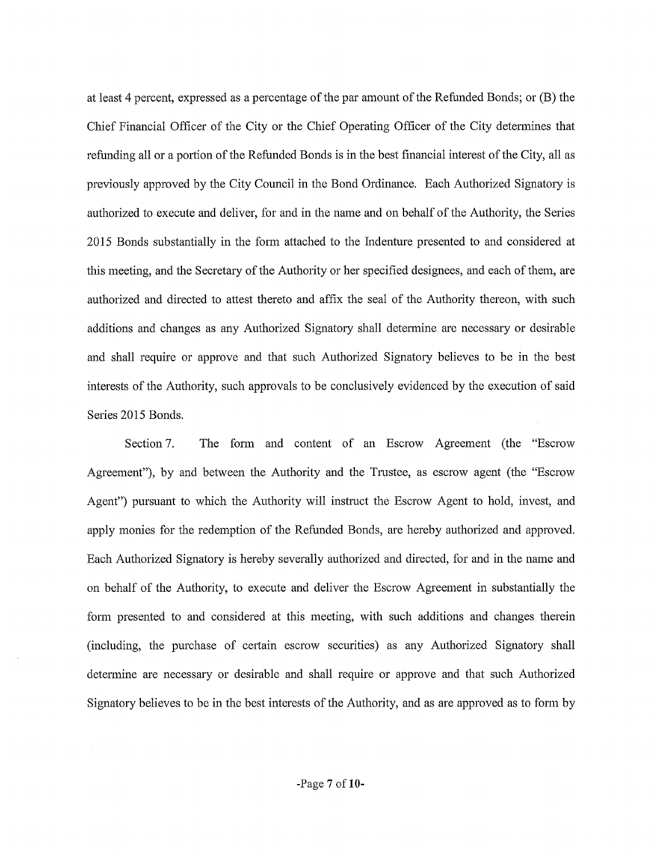at least 4 percent, expressed as a percentage of the par amount of the Refunded Bonds; or (B) the Chief Financial Officer of the City or the Chief Operating Officer of the City detennines that refunding all or a portion of the Refunded Bonds is in the best financial interest of the City, all as previously approved by the City Council in the Bond Ordinance. Each Authorized Signatory is authorized to execute and deliver, for and in the name and on behalf of the Authority, the Series 2015 Bonds substantially in the fonn attached to the Indenture presented to and considered at this meeting, and the Secretary of the Authority or her specified designees, and each of them, are authorized and directed to attest thereto and affix the seal of the Authority thereon, with such additions and changes as any Authorized Signatory shall determine are necessary or desirable and shall require or approve and that such Authorized Signatory believes to be in the best interests of the Authority, such approvals to be conclusively evidenced by the execution of said Series 2015 Bonds.

Section 7. The form and content of an Escrow Agreement (the "Escrow Agreement"), by and between the Authority and the Trustee, as escrow agent (the "Escrow Agent") pursuant to which the Authority will instmct the Escrow Agent to hold, invest, and apply monies for the redemption of the Refunded Bonds, are hereby authorized and approved. Each Authorized Signatory is hereby severally authorized and directed, for and in the name and on behalf of the Authority, to execute and deliver the Escrow Agreement in substantially the fonn presented to and considered at this meeting, with such additions and changes therein (including, the purchase of certain escrow securities) as any Authorized Signatory shall determine are necessary or desirable and shall require or approve and that such Authorized Signatory believes to be in the best interests of the Authority, and as are approved as to form by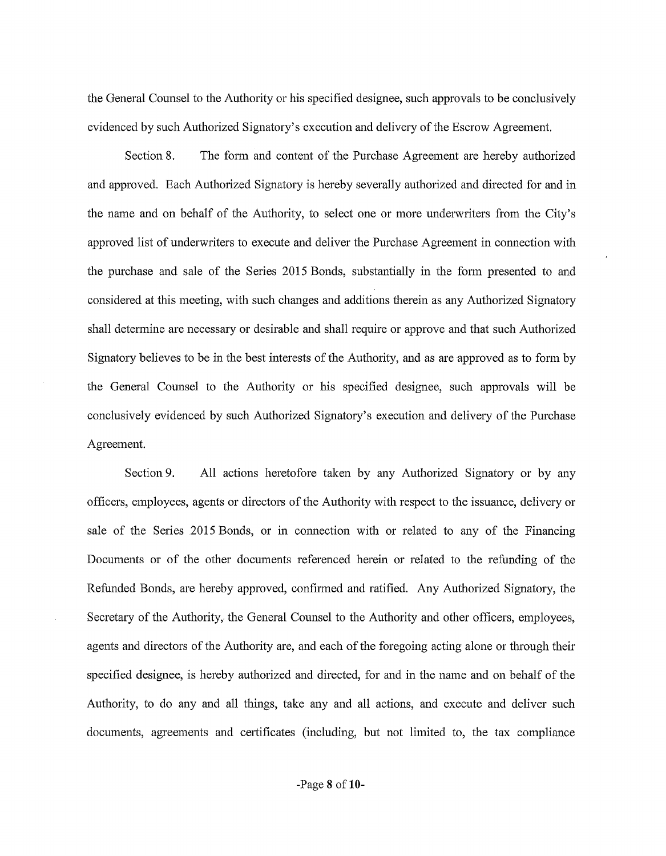the General Counsel to the Authority or his specified designee, such approvals to be conclusively evidenced by such Authorized Signatory's execution and delivery of the Escrow Agreement.

Section 8. The fonn and content of the Purchase Agreement are hereby authorized and approved. Each Authorized Signatory is hereby severally authorized and directed for and in the name and on behalf of the Authority, to select one or more undetwriters from the City's approved list of underwriters to execute and deliver the Purchase Agreement in connection with the purchase and sale of the Series 2015 Bonds, substantially in the form presented to and considered at this meeting, with such changes and additions therein as any Authorized Signatory shall determine are necessary or desirable and shall require or approve and that such Authorized Signatory believes to be in the best interests of the Authority, and as are approved as to form by the General Counsel to the Authority or his specified designee, such approvals will be conclusively evidenced by such Authorized Signatory's execution and delivery of the Purchase Agreement.

Section 9. All actions heretofore taken by any Authorized Signatory or by any officers, employees, agents or directors of the Authority with respect to the issuance, delivery or sale of the Series 2015 Bonds, or in connection with or related to any of the Financing Documents or of the other documents referenced herein or related to the refunding of the Refunded Bonds, are hereby approved, confinned and ratified. Any Authorized Signatory, the Secretary of the Authority, the General Counsel to the Authority and other officers, employees, agents and directors of the Authority are, and each of the foregoing acting alone or through their specified designee, is hereby authorized and directed, for and in the name and on behalf of the Authority, to do any and all things, take any and all actions, and execute and deliver such documents, agreements and certificates (including, but not limited to, the tax compliance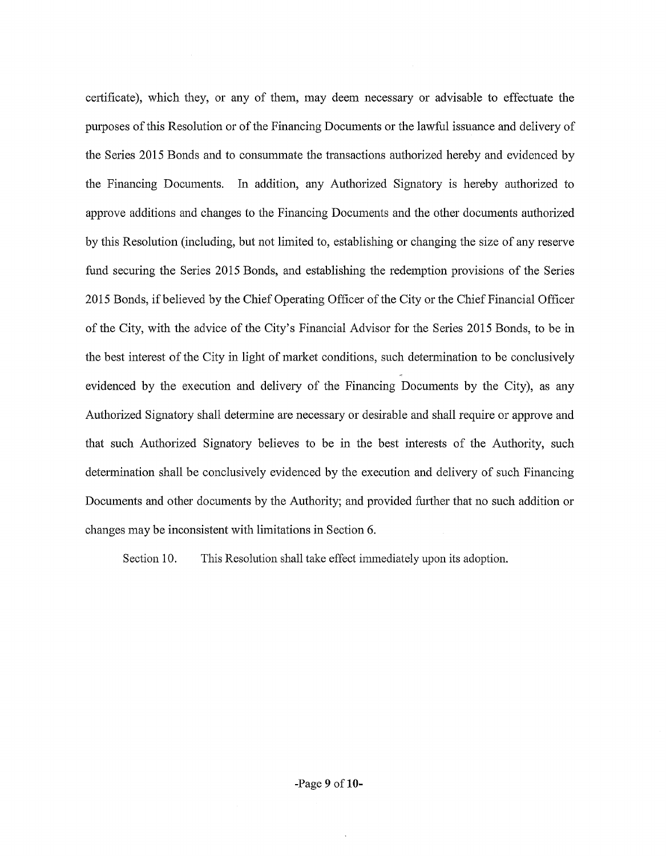certificate), which they, or any of them, may deem necessary or advisable to effectuate the purposes of this Resolution or of the Financing Documents or the lawful issuance and delivery of the Series 2015 Bonds and to consmmnate the transactions authorized hereby and evidenced by the Financing Documents. In addition, any Authorized Signatory is hereby authorized to approve additions and changes to the Financing Documents and the other documents authorized by this Resolution (including, but not limited to, establishing or changing the size of any reserve fund securing the Series 2015 Bonds, and establishing the redemption provisions of the Series 2015 Bonds, if believed by the Chief Operating Officer of the City or the Chief Financial Officer of the City, with the advice of the City's Financial Advisor for the Series 2015 Bonds, to be in the best interest of the City in light of market conditions, such determination to be conclusively evidenced by the execution and delivery of the Financing Documents by the City), as any Authorized Signatory shall determine are necessary or desirable and shall require or approve and that such Authorized Signatory believes to be in the best interests of the Authority, such detennination shall be conclusively evidenced by the execution and delivery of such Financing Documents and other documents by the Authority; and provided futiher that no such addition or changes may be inconsistent with limitations in Section 6.

Section 10. This Resolution shall take effect immediately upon its adoption.